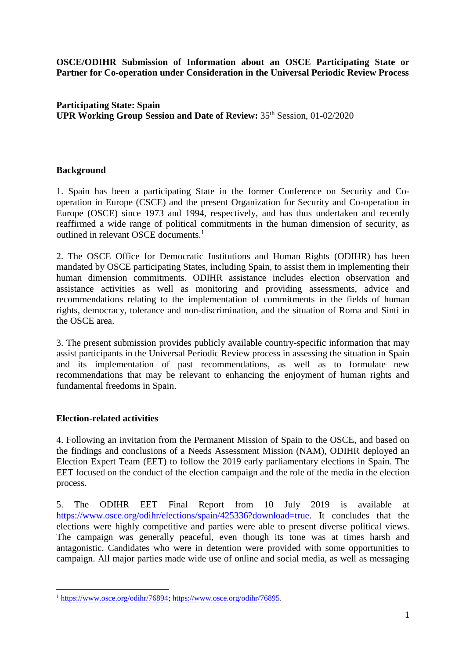**OSCE/ODIHR Submission of Information about an OSCE Participating State or Partner for Co-operation under Consideration in the Universal Periodic Review Process**

**Participating State: Spain UPR Working Group Session and Date of Review: 35<sup>th</sup> Session, 01-02/2020** 

### **Background**

1. Spain has been a participating State in the former Conference on Security and Cooperation in Europe (CSCE) and the present Organization for Security and Co-operation in Europe (OSCE) since 1973 and 1994, respectively, and has thus undertaken and recently reaffirmed a wide range of political commitments in the human dimension of security, as outlined in relevant OSCE documents. 1

2. The OSCE Office for Democratic Institutions and Human Rights (ODIHR) has been mandated by OSCE participating States, including Spain, to assist them in implementing their human dimension commitments. ODIHR assistance includes election observation and assistance activities as well as monitoring and providing assessments, advice and recommendations relating to the implementation of commitments in the fields of human rights, democracy, tolerance and non-discrimination, and the situation of Roma and Sinti in the OSCE area.

3. The present submission provides publicly available country-specific information that may assist participants in the Universal Periodic Review process in assessing the situation in Spain and its implementation of past recommendations, as well as to formulate new recommendations that may be relevant to enhancing the enjoyment of human rights and fundamental freedoms in Spain.

### **Election-related activities**

<u>.</u>

4. Following an invitation from the Permanent Mission of Spain to the OSCE, and based on the findings and conclusions of a Needs Assessment Mission (NAM), ODIHR deployed an Election Expert Team (EET) to follow the 2019 early parliamentary elections in Spain. The EET focused on the conduct of the election campaign and the role of the media in the election process.

5. The ODIHR EET Final Report from 10 July 2019 is available at [https://www.osce.org/odihr/elections/spain/425336?download=true.](https://www.osce.org/odihr/elections/spain/425336?download=true) It concludes that the elections were highly competitive and parties were able to present diverse political views. The campaign was generally peaceful, even though its tone was at times harsh and antagonistic. Candidates who were in detention were provided with some opportunities to campaign. All major parties made wide use of online and social media, as well as messaging

<sup>1</sup> [https://www.osce.org/odihr/76894;](https://www.osce.org/odihr/76894) [https://www.osce.org/odihr/76895.](https://www.osce.org/odihr/76895)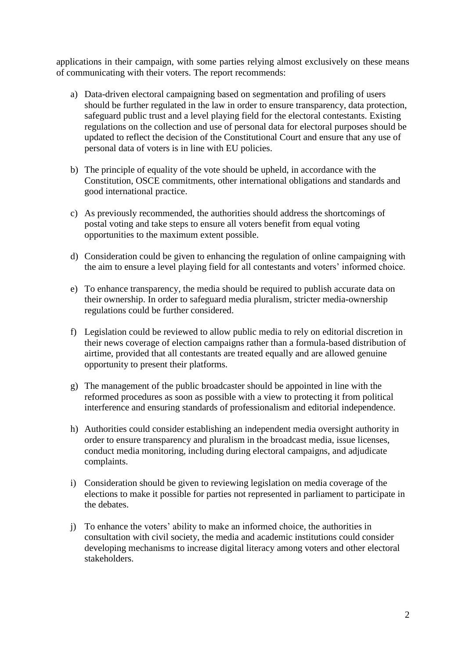applications in their campaign, with some parties relying almost exclusively on these means of communicating with their voters. The report recommends:

- a) Data-driven electoral campaigning based on segmentation and profiling of users should be further regulated in the law in order to ensure transparency, data protection, safeguard public trust and a level playing field for the electoral contestants. Existing regulations on the collection and use of personal data for electoral purposes should be updated to reflect the decision of the Constitutional Court and ensure that any use of personal data of voters is in line with EU policies.
- b) The principle of equality of the vote should be upheld, in accordance with the Constitution, OSCE commitments, other international obligations and standards and good international practice.
- c) As previously recommended, the authorities should address the shortcomings of postal voting and take steps to ensure all voters benefit from equal voting opportunities to the maximum extent possible.
- d) Consideration could be given to enhancing the regulation of online campaigning with the aim to ensure a level playing field for all contestants and voters' informed choice.
- e) To enhance transparency, the media should be required to publish accurate data on their ownership. In order to safeguard media pluralism, stricter media-ownership regulations could be further considered.
- f) Legislation could be reviewed to allow public media to rely on editorial discretion in their news coverage of election campaigns rather than a formula-based distribution of airtime, provided that all contestants are treated equally and are allowed genuine opportunity to present their platforms.
- g) The management of the public broadcaster should be appointed in line with the reformed procedures as soon as possible with a view to protecting it from political interference and ensuring standards of professionalism and editorial independence.
- h) Authorities could consider establishing an independent media oversight authority in order to ensure transparency and pluralism in the broadcast media, issue licenses, conduct media monitoring, including during electoral campaigns, and adjudicate complaints.
- i) Consideration should be given to reviewing legislation on media coverage of the elections to make it possible for parties not represented in parliament to participate in the debates.
- j) To enhance the voters' ability to make an informed choice, the authorities in consultation with civil society, the media and academic institutions could consider developing mechanisms to increase digital literacy among voters and other electoral stakeholders.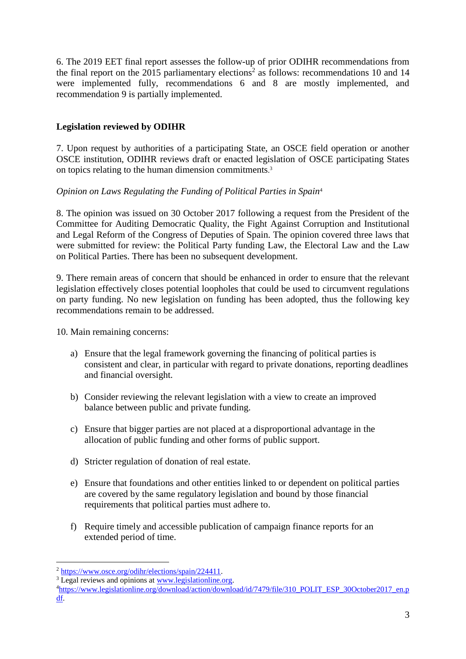6. The 2019 EET final report assesses the follow-up of prior ODIHR recommendations from the final report on the 2015 parliamentary elections<sup>2</sup> as follows: recommendations 10 and 14 were implemented fully, recommendations 6 and 8 are mostly implemented, and recommendation 9 is partially implemented.

# **Legislation reviewed by ODIHR**

7. Upon request by authorities of a participating State, an OSCE field operation or another OSCE institution, ODIHR reviews draft or enacted legislation of OSCE participating States on topics relating to the human dimension commitments. 3

## *Opinion on Laws Regulating the Funding of Political Parties in Spain*<sup>4</sup>

8. The opinion was issued on 30 October 2017 following a request from the President of the Committee for Auditing Democratic Quality, the Fight Against Corruption and Institutional and Legal Reform of the Congress of Deputies of Spain. The opinion covered three laws that were submitted for review: the Political Party funding Law, the Electoral Law and the Law on Political Parties. There has been no subsequent development.

9. There remain areas of concern that should be enhanced in order to ensure that the relevant legislation effectively closes potential loopholes that could be used to circumvent regulations on party funding. No new legislation on funding has been adopted, thus the following key recommendations remain to be addressed.

10. Main remaining concerns:

- a) Ensure that the legal framework governing the financing of political parties is consistent and clear, in particular with regard to private donations, reporting deadlines and financial oversight.
- b) Consider reviewing the relevant legislation with a view to create an improved balance between public and private funding.
- c) Ensure that bigger parties are not placed at a disproportional advantage in the allocation of public funding and other forms of public support.
- d) Stricter regulation of donation of real estate.
- e) Ensure that foundations and other entities linked to or dependent on political parties are covered by the same regulatory legislation and bound by those financial requirements that political parties must adhere to.
- f) Require timely and accessible publication of campaign finance reports for an extended period of time.

<u>.</u>

<sup>2</sup> [https://www.osce.org/odihr/elections/spain/224411.](https://www.osce.org/odihr/elections/spain/224411)

<sup>&</sup>lt;sup>3</sup> Legal reviews and opinions at [www.legislationline.org.](http://www.legislationline.org/)

<sup>4</sup>[https://www.legislationline.org/download/action/download/id/7479/file/310\\_POLIT\\_ESP\\_30October2017\\_en.p](https://www.legislationline.org/download/action/download/id/7479/file/310_POLIT_ESP_30October2017_en.pdf) [df.](https://www.legislationline.org/download/action/download/id/7479/file/310_POLIT_ESP_30October2017_en.pdf)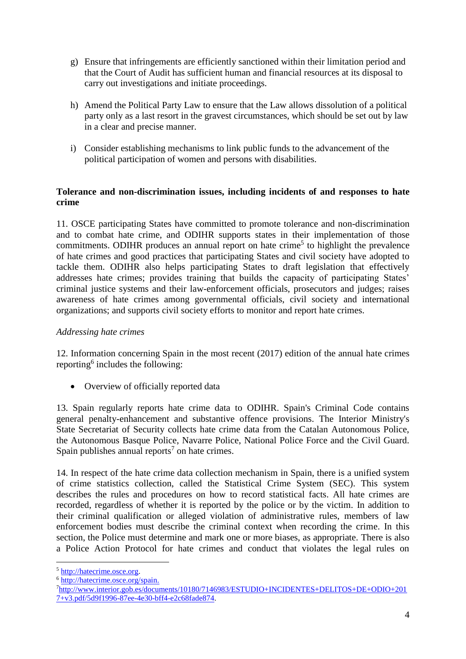- g) Ensure that infringements are efficiently sanctioned within their limitation period and that the Court of Audit has sufficient human and financial resources at its disposal to carry out investigations and initiate proceedings.
- h) Amend the Political Party Law to ensure that the Law allows dissolution of a political party only as a last resort in the gravest circumstances, which should be set out by law in a clear and precise manner.
- i) Consider establishing mechanisms to link public funds to the advancement of the political participation of women and persons with disabilities.

### **Tolerance and non-discrimination issues, including incidents of and responses to hate crime**

11. OSCE participating States have committed to promote tolerance and non-discrimination and to combat hate crime, and ODIHR supports states in their implementation of those commitments. ODIHR produces an annual report on hate crime<sup>5</sup> to highlight the prevalence of hate crimes and good practices that participating States and civil society have adopted to tackle them. ODIHR also helps participating States to draft legislation that effectively addresses hate crimes; provides training that builds the capacity of participating States' criminal justice systems and their law-enforcement officials, prosecutors and judges; raises awareness of hate crimes among governmental officials, civil society and international organizations; and supports civil society efforts to monitor and report hate crimes.

## *Addressing hate crimes*

12. Information concerning Spain in the most recent (2017) edition of the annual hate crimes reporting<sup>6</sup> includes the following:

• Overview of officially reported data

13. Spain regularly reports hate crime data to ODIHR. Spain's Criminal Code contains general penalty-enhancement and substantive offence provisions. The Interior Ministry's State Secretariat of Security collects hate crime data from the Catalan Autonomous Police, the Autonomous Basque Police, Navarre Police, National Police Force and the Civil Guard. Spain publishes annual reports<sup>7</sup> on hate crimes.

14. In respect of the hate crime data collection mechanism in Spain, there is a unified system of crime statistics collection, called the Statistical Crime System (SEC). This system describes the rules and procedures on how to record statistical facts. All hate crimes are recorded, regardless of whether it is reported by the police or by the victim. In addition to their criminal qualification or alleged violation of administrative rules, members of law enforcement bodies must describe the criminal context when recording the crime. In this section, the Police must determine and mark one or more biases, as appropriate. There is also a Police Action Protocol for hate crimes and conduct that violates the legal rules on

<u>.</u>

<sup>5</sup> [http://hatecrime.osce.org.](http://hatecrime.osce.org/)

<sup>6</sup> [http://hatecrime.osce.org/spain.](http://hatecrime.osce.org/spain)

<sup>7</sup>[http://www.interior.gob.es/documents/10180/7146983/ESTUDIO+INCIDENTES+DELITOS+DE+ODIO+201](http://www.interior.gob.es/documents/10180/7146983/ESTUDIO+INCIDENTES+DELITOS+DE+ODIO+2017+v3.pdf/5d9f1996-87ee-4e30-bff4-e2c68fade874) [7+v3.pdf/5d9f1996-87ee-4e30-bff4-e2c68fade874.](http://www.interior.gob.es/documents/10180/7146983/ESTUDIO+INCIDENTES+DELITOS+DE+ODIO+2017+v3.pdf/5d9f1996-87ee-4e30-bff4-e2c68fade874)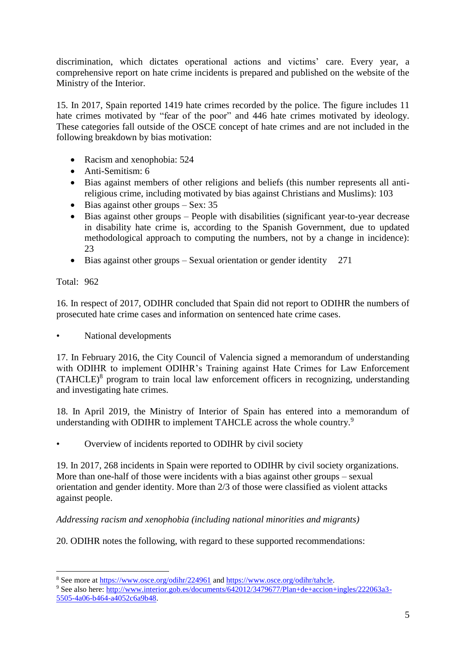discrimination, which dictates operational actions and victims' care. Every year, a comprehensive report on hate crime incidents is prepared and published on the website of the Ministry of the Interior.

15. In 2017, Spain reported 1419 hate crimes recorded by the police. The figure includes 11 hate crimes motivated by "fear of the poor" and 446 hate crimes motivated by ideology. These categories fall outside of the OSCE concept of hate crimes and are not included in the following breakdown by bias motivation:

- Racism and xenophobia: 524
- Anti-Semitism: 6
- Bias against members of other religions and beliefs (this number represents all antireligious crime, including motivated by bias against Christians and Muslims): 103
- $\bullet$  Bias against other groups Sex: 35
- Bias against other groups People with disabilities (significant year-to-year decrease in disability hate crime is, according to the Spanish Government, due to updated methodological approach to computing the numbers, not by a change in incidence): 23
- $\bullet$  Bias against other groups Sexual orientation or gender identity 271

Total: 962

1

16. In respect of 2017, ODIHR concluded that Spain did not report to ODIHR the numbers of prosecuted hate crime cases and information on sentenced hate crime cases.

• National developments

17. In February 2016, the City Council of Valencia signed a memorandum of understanding with ODIHR to implement ODIHR's Training against Hate Crimes for Law Enforcement (TAHCLE)<sup>8</sup> program to train local law enforcement officers in recognizing, understanding and investigating hate crimes.

18. In April 2019, the Ministry of Interior of Spain has entered into a memorandum of understanding with ODIHR to implement TAHCLE across the whole country.<sup>9</sup>

• Overview of incidents reported to ODIHR by civil society

19. In 2017, 268 incidents in Spain were reported to ODIHR by civil society organizations. More than one-half of those were incidents with a bias against other groups – sexual orientation and gender identity. More than 2/3 of those were classified as violent attacks against people.

## *Addressing racism and xenophobia (including national minorities and migrants)*

20. ODIHR notes the following, with regard to these supported recommendations:

<sup>8</sup> See more at<https://www.osce.org/odihr/224961> and [https://www.osce.org/odihr/tahcle.](https://www.osce.org/odihr/tahcle)

<sup>9</sup> See also here: [http://www.interior.gob.es/documents/642012/3479677/Plan+de+accion+ingles/222063a3-](http://www.interior.gob.es/documents/642012/3479677/Plan+de+accion+ingles/222063a3-5505-4a06-b464-a4052c6a9b48) [5505-4a06-b464-a4052c6a9b48.](http://www.interior.gob.es/documents/642012/3479677/Plan+de+accion+ingles/222063a3-5505-4a06-b464-a4052c6a9b48)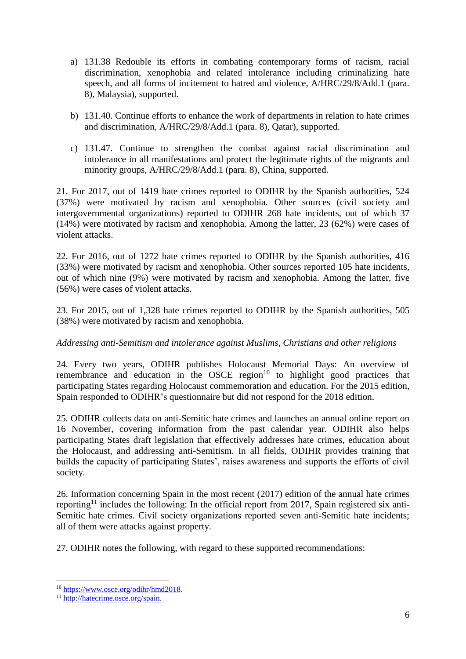- a) 131.38 Redouble its efforts in combating contemporary forms of racism, racial discrimination, xenophobia and related intolerance including criminalizing hate speech, and all forms of incitement to hatred and violence, A/HRC/29/8/Add.1 (para. 8), Malaysia), supported.
- b) 131.40. Continue efforts to enhance the work of departments in relation to hate crimes and discrimination, A/HRC/29/8/Add.1 (para. 8), Qatar), supported.
- c) 131.47. Continue to strengthen the combat against racial discrimination and intolerance in all manifestations and protect the legitimate rights of the migrants and minority groups, A/HRC/29/8/Add.1 (para. 8), China, supported.

21. For 2017, out of 1419 hate crimes reported to ODIHR by the Spanish authorities, 524 (37%) were motivated by racism and xenophobia. Other sources (civil society and intergovernmental organizations) reported to ODIHR 268 hate incidents, out of which 37 (14%) were motivated by racism and xenophobia. Among the latter, 23 (62%) were cases of violent attacks.

22. For 2016, out of 1272 hate crimes reported to ODIHR by the Spanish authorities, 416 (33%) were motivated by racism and xenophobia. Other sources reported 105 hate incidents, out of which nine (9%) were motivated by racism and xenophobia. Among the latter, five (56%) were cases of violent attacks.

23. For 2015, out of 1,328 hate crimes reported to ODIHR by the Spanish authorities, 505 (38%) were motivated by racism and xenophobia.

# *Addressing anti-Semitism and intolerance against Muslims, Christians and other religions*

24. Every two years, ODIHR publishes Holocaust Memorial Days: An overview of remembrance and education in the OSCE region<sup>10</sup> to highlight good practices that participating States regarding Holocaust commemoration and education. For the 2015 edition, Spain responded to ODIHR's questionnaire but did not respond for the 2018 edition.

25. ODIHR collects data on anti-Semitic hate crimes and launches an annual online report on 16 November, covering information from the past calendar year. ODIHR also helps participating States draft legislation that effectively addresses hate crimes, education about the Holocaust, and addressing anti-Semitism. In all fields, ODIHR provides training that builds the capacity of participating States', raises awareness and supports the efforts of civil society.

26. Information concerning Spain in the most recent (2017) edition of the annual hate crimes reporting<sup>11</sup> includes the following: In the official report from 2017, Spain registered six anti-Semitic hate crimes. Civil society organizations reported seven anti-Semitic hate incidents; all of them were attacks against property.

27. ODIHR notes the following, with regard to these supported recommendations:

1

<sup>10</sup> [https://www.osce.org/odihr/hmd2018.](https://www.osce.org/odihr/hmd2018)

<sup>11</sup> [http://hatecrime.osce.org/spain.](http://hatecrime.osce.org/spain)